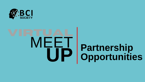

# **EH Partnership<br>UP Opportunities**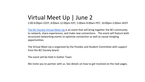# Virtual Meet Up | June 2

2:00-6:00pm CEDT, 8:00am-12:00pm EDT, 5:00am-9:00am PDT, 10:00pm-2:00am AEDT

[The BCI Society Virtual Meet-Up i](https://bcisociety.org/virtual-meet-up/)s an event that will bring together the BCI community to network, share experiences, and make new connections. The event will feature both structured networking events to optimize connection as well as casual mingling opportunities.

The Virtual Meet-Up is organized by the Postdoc and Student Committee with support from the BCI Society board.

The event will be held in Gather Town.

We invite you to partner with us. See details on how to get involved on the next pages.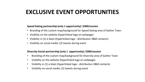# **EXCLUSIVE EVENT OPPORTUNITIES**

### **Speed Dating partnership (only 1 opportunity): \$300/session**

- Branding of the custom map/background for Speed Dating area of Gather Town
- Visibility on the website (hyperlinked logo on webpage)
- Visibility in (1) e-blast (hyperlinked logo distribution 3860 contacts)
- Visibility on social media: (2) tweets during event

## **Diversity Social partnership (only 1 opportunity): \$300/session**

- Branding of the custom map/background for Diversity area of Gather Town
- Visibility on the website (hyperlinked logo on webpage)
- Visibility in (1) e-blast (hyperlinked logo distribution 3860 contacts)
- Visibility on social media: (2) tweets during event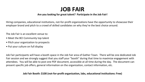# **JOB FAIR**

### **Are you looking for great talent? Participate in the Job Fair!**

Hiring companies, educational institutions, not-for-profit organizations have the opportunity to showcase their employer brand and pitch to a crowd of skilled candidates on why they're the best choice around.

The Job Fair is an excellent venue to:

- Meet the BCI Community top talent
- Pitch your organization to prospects
- Put your culture on full display

Job Fair participants will have a booth space in the Job Fair area of Gather Town. There will be one dedicated Job Fair session and we strongly suggest that you staff your "booth" during that time to maximize engagement with attendees. You will be able to post one PDF document, accessible at all time during the day. The document can present specific job offers, general information on the organization, contact information, etc.

## **Job Fair Booth: \$100 (not-for-profit organization, labs, educational institutions: Free)**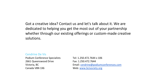Got a creative idea? Contact us and let's talk about it. We are dedicated to helping you get the most out of your partnership whether through our existing offerings or custom-made creative solutions.

### Cendrine De Vis

Podium Conference Specialists 2661 Queenswood Drive Victoria, BC Canada V8N 1X6

Tel: 1.250.472.7644 x 106 Fax: 1.250.472.7644 Email: [cendrine@podiumconferences.com](mailto:michelle@podiumconferences.com) Web: [www.bcisociety.org](http://www.cogdevsoc.org/)